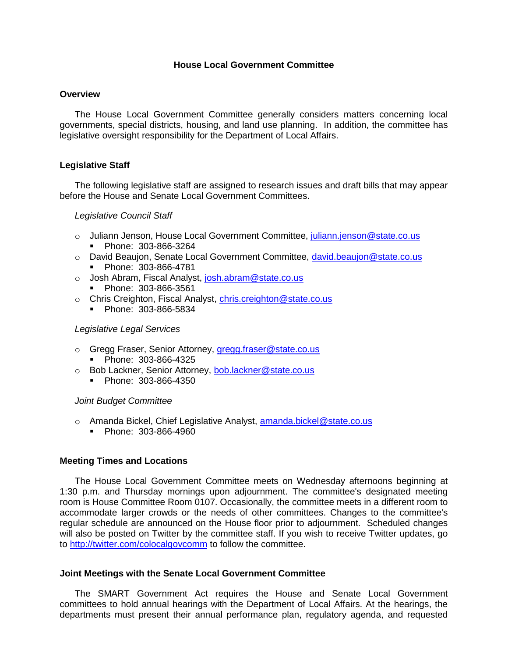### **House Local Government Committee**

#### **Overview**

The House Local Government Committee generally considers matters concerning local governments, special districts, housing, and land use planning. In addition, the committee has legislative oversight responsibility for the Department of Local Affairs.

### **Legislative Staff**

The following legislative staff are assigned to research issues and draft bills that may appear before the House and Senate Local Government Committees.

### *Legislative Council Staff*

- Juliann Jenson, House Local Government Committee, juliann.jenson@state.co.us Phone: 303-866-3264
- o David Beaujon, Senate Local Government Committee, david.beaujon@state.co.us
	- Phone: 303-866-4781
- o Josh Abram, Fiscal Analyst, [josh.abram@state.co.us](mailto:josh.abram@state.co.us)
	- Phone: 303-866-3561
- o Chris Creighton, Fiscal Analyst, [chris.creighton@state.co.us](mailto:chris.creighton@state.co.us)
	- **Phone: 303-866-5834**

### *Legislative Legal Services*

- o Gregg Fraser, Senior Attorney, gregg.fraser@state.co.us
	- Phone: 303-866-4325
- o Bob Lackner, Senior Attorney, bob.lackner@state.co.us
	- Phone: 303-866-4350

### *Joint Budget Committee*

- o Amanda Bickel, Chief Legislative Analyst, amanda.bickel@state.co.us
	- **Phone: 303-866-4960**

# **Meeting Times and Locations**

The House Local Government Committee meets on Wednesday afternoons beginning at 1:30 p.m. and Thursday mornings upon adjournment. The committee's designated meeting room is House Committee Room 0107. Occasionally, the committee meets in a different room to accommodate larger crowds or the needs of other committees. Changes to the committee's regular schedule are announced on the House floor prior to adjournment. Scheduled changes will also be posted on Twitter by the committee staff. If you wish to receive Twitter updates, go to<http://twitter.com/colocalgovcomm> to follow the committee.

### **Joint Meetings with the Senate Local Government Committee**

The SMART Government Act requires the House and Senate Local Government committees to hold annual hearings with the Department of Local Affairs. At the hearings, the departments must present their annual performance plan, regulatory agenda, and requested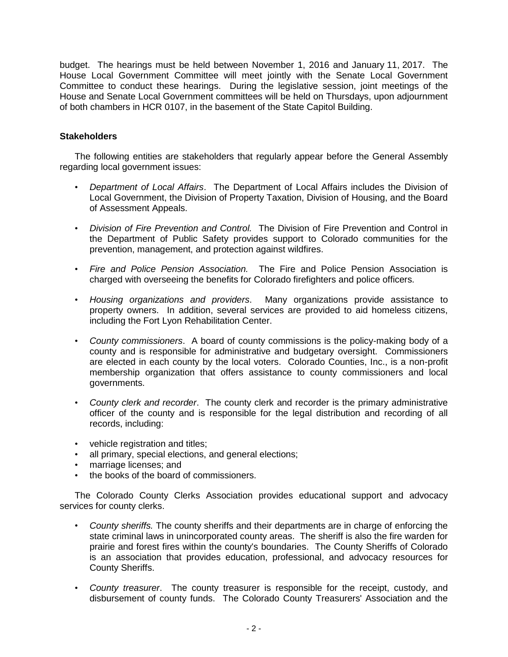budget. The hearings must be held between November 1, 2016 and January 11, 2017. The House Local Government Committee will meet jointly with the Senate Local Government Committee to conduct these hearings. During the legislative session, joint meetings of the House and Senate Local Government committees will be held on Thursdays, upon adjournment of both chambers in HCR 0107, in the basement of the State Capitol Building.

# **Stakeholders**

The following entities are stakeholders that regularly appear before the General Assembly regarding local government issues:

- *Department of Local Affairs*. The Department of Local Affairs includes the Division of Local Government, the Division of Property Taxation, Division of Housing, and the Board of Assessment Appeals.
- *Division of Fire Prevention and Control.* The Division of Fire Prevention and Control in the Department of Public Safety provides support to Colorado communities for the prevention, management, and protection against wildfires.
- *Fire and Police Pension Association.* The Fire and Police Pension Association is charged with overseeing the benefits for Colorado firefighters and police officers.
- *Housing organizations and providers*. Many organizations provide assistance to property owners. In addition, several services are provided to aid homeless citizens, including the Fort Lyon Rehabilitation Center.
- *County commissioners*. A board of county commissions is the policy-making body of a county and is responsible for administrative and budgetary oversight. Commissioners are elected in each county by the local voters. Colorado Counties, Inc., is a non-profit membership organization that offers assistance to county commissioners and local governments.
- *County clerk and recorder*. The county clerk and recorder is the primary administrative officer of the county and is responsible for the legal distribution and recording of all records, including:
- vehicle registration and titles;
- all primary, special elections, and general elections;
- marriage licenses; and
- the books of the board of commissioners.

The Colorado County Clerks Association provides educational support and advocacy services for county clerks.

- *County sheriffs.* The county sheriffs and their departments are in charge of enforcing the state criminal laws in unincorporated county areas. The sheriff is also the fire warden for prairie and forest fires within the county's boundaries. The County Sheriffs of Colorado is an association that provides education, professional, and advocacy resources for County Sheriffs.
- *County treasurer*. The county treasurer is responsible for the receipt, custody, and disbursement of county funds. The Colorado County Treasurers' Association and the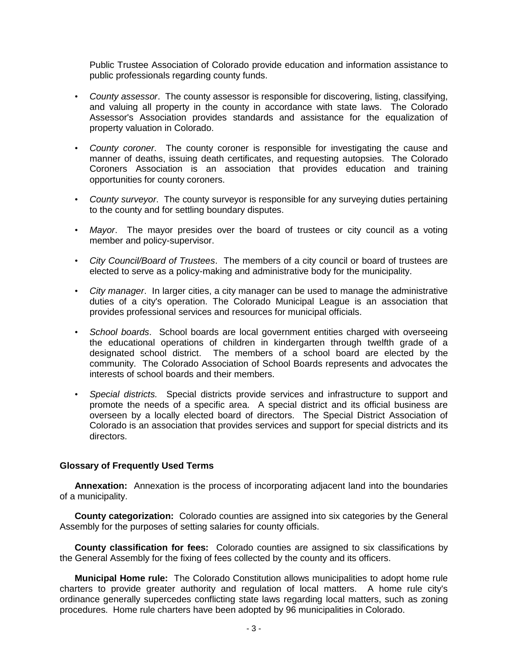Public Trustee Association of Colorado provide education and information assistance to public professionals regarding county funds.

- *County assessor*. The county assessor is responsible for discovering, listing, classifying, and valuing all property in the county in accordance with state laws. The Colorado Assessor's Association provides standards and assistance for the equalization of property valuation in Colorado.
- *County coroner*. The county coroner is responsible for investigating the cause and manner of deaths, issuing death certificates, and requesting autopsies. The Colorado Coroners Association is an association that provides education and training opportunities for county coroners.
- *County surveyor*. The county surveyor is responsible for any surveying duties pertaining to the county and for settling boundary disputes.
- *Mayor*. The mayor presides over the board of trustees or city council as a voting member and policy-supervisor.
- *City Council/Board of Trustees*. The members of a city council or board of trustees are elected to serve as a policy-making and administrative body for the municipality.
- *City manager*. In larger cities, a city manager can be used to manage the administrative duties of a city's operation. The Colorado Municipal League is an association that provides professional services and resources for municipal officials.
- *School boards*. School boards are local government entities charged with overseeing the educational operations of children in kindergarten through twelfth grade of a designated school district. The members of a school board are elected by the community. The Colorado Association of School Boards represents and advocates the interests of school boards and their members.
- *Special districts.* Special districts provide services and infrastructure to support and promote the needs of a specific area. A special district and its official business are overseen by a locally elected board of directors. The Special District Association of Colorado is an association that provides services and support for special districts and its directors.

### **Glossary of Frequently Used Terms**

**Annexation:** Annexation is the process of incorporating adjacent land into the boundaries of a municipality.

**County categorization:** Colorado counties are assigned into six categories by the General Assembly for the purposes of setting salaries for county officials.

**County classification for fees:** Colorado counties are assigned to six classifications by the General Assembly for the fixing of fees collected by the county and its officers.

**Municipal Home rule:** The Colorado Constitution allows municipalities to adopt home rule charters to provide greater authority and regulation of local matters. A home rule city's ordinance generally supercedes conflicting state laws regarding local matters, such as zoning procedures. Home rule charters have been adopted by 96 municipalities in Colorado.